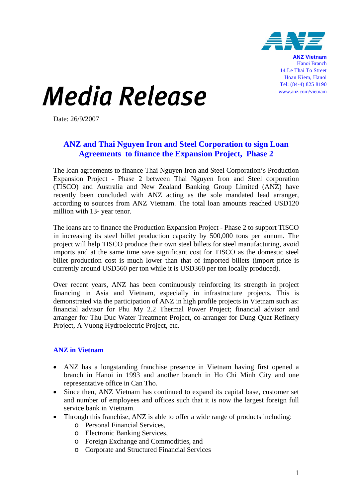

**ANZ Vietnam** Hanoi Branch 14 Le Thai To Street Hoan Kiem, Hanoi Tel: (84-4) 825 8190 www.anz.com/vietnam

## **Media Release**

Date: 26/9/2007

## **ANZ and Thai Nguyen Iron and Steel Corporation to sign Loan Agreements to finance the Expansion Project, Phase 2**

The loan agreements to finance Thai Nguyen Iron and Steel Corporation's Production Expansion Project - Phase 2 between Thai Nguyen Iron and Steel corporation (TISCO) and Australia and New Zealand Banking Group Limited (ANZ) have recently been concluded with ANZ acting as the sole mandated lead arranger, according to sources from ANZ Vietnam. The total loan amounts reached USD120 million with 13- year tenor.

The loans are to finance the Production Expansion Project - Phase 2 to support TISCO in increasing its steel billet production capacity by 500,000 tons per annum. The project will help TISCO produce their own steel billets for steel manufacturing, avoid imports and at the same time save significant cost for TISCO as the domestic steel billet production cost is much lower than that of imported billets (import price is currently around USD560 per ton while it is USD360 per ton locally produced).

Over recent years, ANZ has been continuously reinforcing its strength in project financing in Asia and Vietnam, especially in infrastructure projects. This is demonstrated via the participation of ANZ in high profile projects in Vietnam such as: financial advisor for Phu My 2.2 Thermal Power Project; financial advisor and arranger for Thu Duc Water Treatment Project, co-arranger for Dung Quat Refinery Project, A Vuong Hydroelectric Project, etc.

## **ANZ in Vietnam**

- ANZ has a longstanding franchise presence in Vietnam having first opened a branch in Hanoi in 1993 and another branch in Ho Chi Minh City and one representative office in Can Tho.
- Since then, ANZ Vietnam has continued to expand its capital base, customer set and number of employees and offices such that it is now the largest foreign full service bank in Vietnam.
- Through this franchise, ANZ is able to offer a wide range of products including:
	- o Personal Financial Services,
	- o Electronic Banking Services,
	- o Foreign Exchange and Commodities, and
	- o Corporate and Structured Financial Services